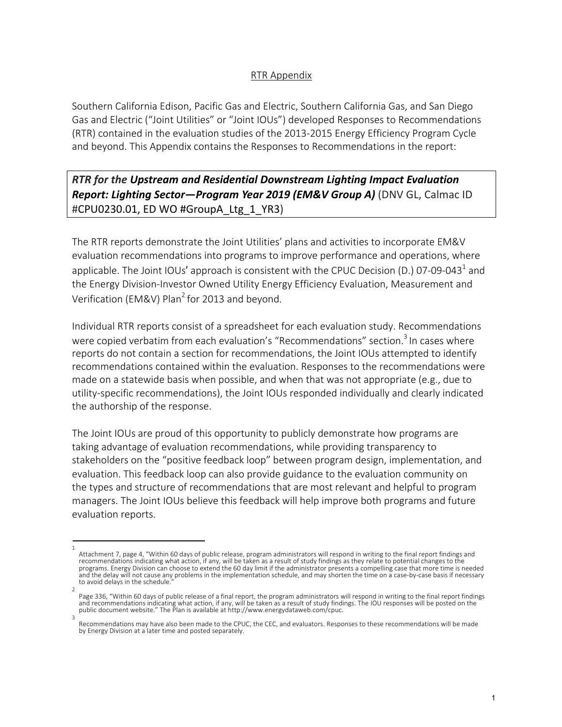## RTR Appendix

Southern California Edison, Pacific Gas and Electric, Southern California Gas, and San Diego Gas and Electric ("Joint Utilities" or "Joint IOUs") developed Responses to Recommendations (RTR) contained in the evaluation studies of the 2013-2015 Energy Efficiency Program Cycle and beyond. This Appendix contains the Responses to Recommendations in the report:

*RTR for the Upstream and Residential Downstream Lighting Impact Evaluation Report: Lighting Sector—Program Year 2019 (EM&V Group A)* (DNV GL, Calmac ID #CPU0230.01, ED WO #GroupA\_Ltg\_1\_YR3)

The RTR reports demonstrate the Joint Utilities' plans and activities to incorporate EM&V evaluation recommendations into programs to improve performance and operations, where applicable. The Joint IOUs' approach is consistent with the CPUC Decision (D.) 07-09-043<sup>1</sup> and the Energy Division-Investor Owned Utility Energy Efficiency Evaluation, Measurement and Verification (EM&V) Plan<sup>2</sup> for 2013 and beyond.

Individual RTR reports consist of a spreadsheet for each evaluation study. Recommendations were copied verbatim from each evaluation's "Recommendations" section.<sup>3</sup> In cases where reports do not contain a section for recommendations, the Joint IOUs attempted to identify recommendations contained within the evaluation. Responses to the recommendations were made on a statewide basis when possible, and when that was not appropriate (e.g., due to utility-specific recommendations), the Joint IOUs responded individually and clearly indicated the authorship of the response.

The Joint IOUs are proud of this opportunity to publicly demonstrate how programs are taking advantage of evaluation recommendations, while providing transparency to stakeholders on the "positive feedback loop" between program design, implementation, and evaluation. This feedback loop can also provide guidance to the evaluation community on the types and structure of recommendations that are most relevant and helpful to program managers. The Joint IOUs believe this feedback will help improve both programs and future evaluation reports.

<sup>1</sup>  Attachment 7, page 4, "Within 60 days of public release, program administrators will respond in writing to the final report findings and recommendations indicating what action, if any, will be taken as a result of study findings as they relate to potential changes to the programs. Energy Division can choose to extend the 60 day limit if the administrator presents a compelling case that more time is needed and the delay will not cause any problems in the implementation schedule, and may shorten the time on a case-by-case basis if necessary to avoid delays in the schedule.

<sup>2</sup>  Page 336, "Within 60 days of public release of a final report, the program administrators will respond in writing to the final report findings and recommendations indicating what action, if any, will be taken as a result of study findings. The IOU responses will be posted on the public document website." The Plan is available at http://www.energydataweb.com/cpuc.

Recommendations may have also been made to the CPUC, the CEC, and evaluators. Responses to these recommendations will be made by Energy Division at a later time and posted separately.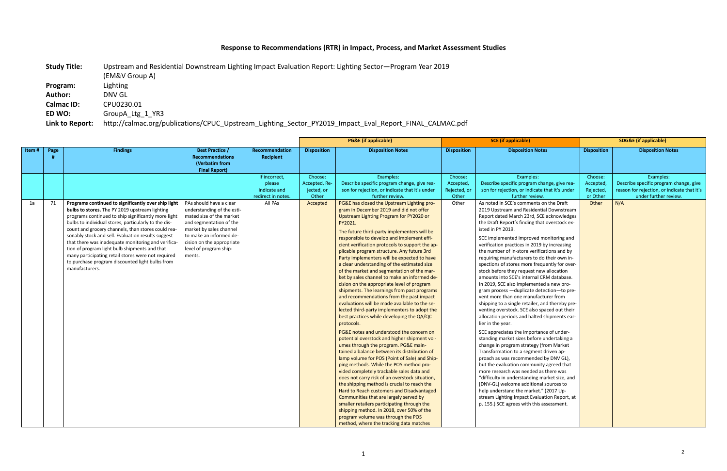## **Response to Recommendations (RTR) in Impact, Process, and Market Assessment Studies**

**Study Title:** Upstream and Residential Downstream Lighting Impact Evaluation Report: Lighting Sector—Program Year 2019

(EM&V Group A)

**Program:** Lighting **Author:** DNV GL **Calmac ID:** CPU0230.01

**ED WO:** GroupA\_Ltg\_1\_YR3

**Link to Report:** http://calmac.org/publications/CPUC\_Upstream\_Lighting\_Sector\_PY2019\_Impact\_Eval\_Report\_FINAL\_CALMAC.pdf

|       |      |                                                                                                                                                                                                                                                                                                                                                                                                                                                                                                                                                                    |                                                                                                                                                                                                                                     |                                                               |                                                 | <b>PG&amp;E</b> (if applicable)                                                                                                                                                                                                                                                                                                                                                                                                                                                                                                                                                                                                                                                                                                                                                                                                                                                                                                                                                                                                                                                                                                                                                                                                                                                                                                                                                                                                                                                                                                              | <b>SCE</b> (if applicable)                    |                                                                                                                                                                                                                                                                                                                                                                                                                                                                                                                                                                                                                                                                                                                                                                                                                                                                                                                                                                                                                                                                                                                                                                                                                                                                                                                                                                                                    | <b>SDG&amp;E</b> (if applicable)              |                                                                                                                             |
|-------|------|--------------------------------------------------------------------------------------------------------------------------------------------------------------------------------------------------------------------------------------------------------------------------------------------------------------------------------------------------------------------------------------------------------------------------------------------------------------------------------------------------------------------------------------------------------------------|-------------------------------------------------------------------------------------------------------------------------------------------------------------------------------------------------------------------------------------|---------------------------------------------------------------|-------------------------------------------------|----------------------------------------------------------------------------------------------------------------------------------------------------------------------------------------------------------------------------------------------------------------------------------------------------------------------------------------------------------------------------------------------------------------------------------------------------------------------------------------------------------------------------------------------------------------------------------------------------------------------------------------------------------------------------------------------------------------------------------------------------------------------------------------------------------------------------------------------------------------------------------------------------------------------------------------------------------------------------------------------------------------------------------------------------------------------------------------------------------------------------------------------------------------------------------------------------------------------------------------------------------------------------------------------------------------------------------------------------------------------------------------------------------------------------------------------------------------------------------------------------------------------------------------------|-----------------------------------------------|----------------------------------------------------------------------------------------------------------------------------------------------------------------------------------------------------------------------------------------------------------------------------------------------------------------------------------------------------------------------------------------------------------------------------------------------------------------------------------------------------------------------------------------------------------------------------------------------------------------------------------------------------------------------------------------------------------------------------------------------------------------------------------------------------------------------------------------------------------------------------------------------------------------------------------------------------------------------------------------------------------------------------------------------------------------------------------------------------------------------------------------------------------------------------------------------------------------------------------------------------------------------------------------------------------------------------------------------------------------------------------------------------|-----------------------------------------------|-----------------------------------------------------------------------------------------------------------------------------|
| Item# | Page | <b>Findings</b>                                                                                                                                                                                                                                                                                                                                                                                                                                                                                                                                                    | <b>Best Practice /</b><br><b>Recommendations</b><br>(Verbatim from<br><b>Final Report)</b>                                                                                                                                          | Recommendation<br>Recipient                                   | <b>Disposition</b>                              | <b>Disposition Notes</b>                                                                                                                                                                                                                                                                                                                                                                                                                                                                                                                                                                                                                                                                                                                                                                                                                                                                                                                                                                                                                                                                                                                                                                                                                                                                                                                                                                                                                                                                                                                     | <b>Disposition</b>                            | <b>Disposition Notes</b>                                                                                                                                                                                                                                                                                                                                                                                                                                                                                                                                                                                                                                                                                                                                                                                                                                                                                                                                                                                                                                                                                                                                                                                                                                                                                                                                                                           | <b>Disposition</b>                            | <b>Disposition Notes</b>                                                                                                    |
|       |      |                                                                                                                                                                                                                                                                                                                                                                                                                                                                                                                                                                    |                                                                                                                                                                                                                                     | If incorrect,<br>please<br>indicate and<br>redirect in notes. | Choose:<br>Accepted, Re-<br>jected, or<br>Other | Examples:<br>Describe specific program change, give rea-<br>son for rejection, or indicate that it's under<br>further review.                                                                                                                                                                                                                                                                                                                                                                                                                                                                                                                                                                                                                                                                                                                                                                                                                                                                                                                                                                                                                                                                                                                                                                                                                                                                                                                                                                                                                | Choose:<br>Accepted,<br>Rejected, or<br>Other | Examples:<br>Describe specific program change, give rea-<br>son for rejection, or indicate that it's under<br>further review.                                                                                                                                                                                                                                                                                                                                                                                                                                                                                                                                                                                                                                                                                                                                                                                                                                                                                                                                                                                                                                                                                                                                                                                                                                                                      | Choose:<br>Accepted,<br>Rejected,<br>or Other | Examples:<br>Describe specific program change, give<br>reason for rejection, or indicate that it's<br>under further review. |
| 1a    | 71   | Programs continued to significantly over ship light<br>bulbs to stores. The PY 2019 upstream lighting<br>programs continued to ship significantly more light<br>bulbs to individual stores, particularly to the dis-<br>count and grocery channels, than stores could rea-<br>sonably stock and sell. Evaluation results suggest<br>that there was inadequate monitoring and verifica-<br>tion of program light bulb shipments and that<br>many participating retail stores were not required<br>to purchase program discounted light bulbs from<br>manufacturers. | PAs should have a clear<br>understanding of the esti-<br>mated size of the market<br>and segmentation of the<br>market by sales channel<br>to make an informed de-<br>cision on the appropriate<br>level of program ship-<br>ments. | All PAs                                                       | Accepted                                        | PG&E has closed the Upstream Lighting pro-<br>gram in December 2019 and did not offer<br>Upstream Lighting Program for PY2020 or<br>PY2021.<br>The future third-party implementers will be<br>responsible to develop and implement effi-<br>cient verification protocols to support the ap-<br>plicable program structure. Any future 3rd<br>Party implementers will be expected to have<br>a clear understanding of the estimated size<br>of the market and segmentation of the mar-<br>ket by sales channel to make an informed de-<br>cision on the appropriate level of program<br>shipments. The learnings from past programs<br>and recommendations from the past impact<br>evaluations will be made available to the se-<br>lected third-party implementers to adopt the<br>best practices while developing the QA/QC<br>protocols.<br>PG&E notes and understood the concern on<br>potential overstock and higher shipment vol-<br>umes through the program. PG&E main-<br>tained a balance between its distribution of<br>lamp volume for POS (Point of Sale) and Ship-<br>ping methods. While the POS method pro-<br>vided completely trackable sales data and<br>does not carry risk of an overstock situation,<br>the shipping method is crucial to reach the<br>Hard to Reach customers and Disadvantaged<br>Communities that are largely served by<br>smaller retailers participating through the<br>shipping method. In 2018, over 50% of the<br>program volume was through the POS<br>method, where the tracking data matches | Other                                         | As noted in SCE's comments on the Draft<br>2019 Upstream and Residential Downstream<br>Report dated March 23rd, SCE acknowledges<br>the Draft Report's finding that overstock ex-<br>isted in PY 2019.<br>SCE implemented improved monitoring and<br>verification practices in 2019 by increasing<br>the number of in-store verifications and by<br>requiring manufacturers to do their own in-<br>spections of stores more frequently for over-<br>stock before they request new allocation<br>amounts into SCE's internal CRM database.<br>In 2019, SCE also implemented a new pro-<br>gram process - duplicate detection-to pre-<br>vent more than one manufacturer from<br>shipping to a single retailer, and thereby pre-<br>venting overstock. SCE also spaced out their<br>allocation periods and halted shipments ear-<br>lier in the year.<br>SCE appreciates the importance of under-<br>standing market sizes before undertaking a<br>change in program strategy (from Market<br>Transformation to a segment driven ap-<br>proach as was recommended by DNV GL),<br>but the evaluation community agreed that<br>more research was needed as there was<br>"difficulty in understanding market size, and<br>[DNV-GL] welcome additional sources to<br>help understand the market." (2017 Up-<br>stream Lighting Impact Evaluation Report, at<br>p. 155.) SCE agrees with this assessment. | Other                                         | N/A                                                                                                                         |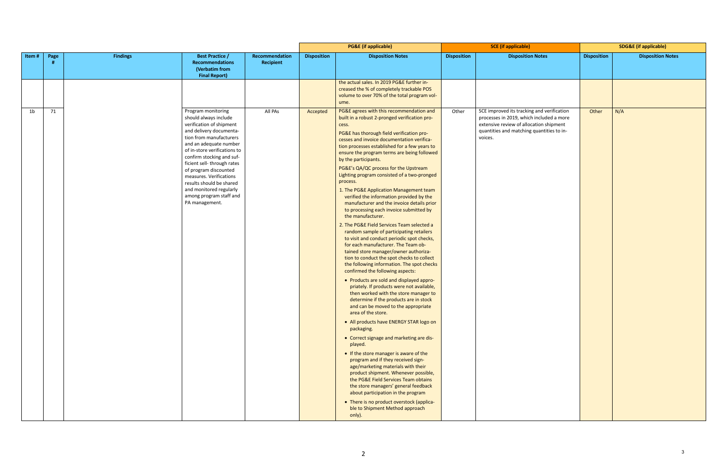|                                                                           |                    | <b>SDG&amp;E</b> (if applicable) |  |  |  |  |  |  |
|---------------------------------------------------------------------------|--------------------|----------------------------------|--|--|--|--|--|--|
| <b>Notes</b>                                                              | <b>Disposition</b> | <b>Disposition Notes</b>         |  |  |  |  |  |  |
|                                                                           |                    |                                  |  |  |  |  |  |  |
|                                                                           |                    |                                  |  |  |  |  |  |  |
|                                                                           |                    |                                  |  |  |  |  |  |  |
|                                                                           |                    |                                  |  |  |  |  |  |  |
|                                                                           |                    |                                  |  |  |  |  |  |  |
| and verification<br>included a more<br>tion shipment<br>quantities to in- | Other              | N/A                              |  |  |  |  |  |  |
|                                                                           |                    |                                  |  |  |  |  |  |  |
|                                                                           |                    |                                  |  |  |  |  |  |  |
|                                                                           |                    |                                  |  |  |  |  |  |  |
|                                                                           |                    |                                  |  |  |  |  |  |  |
|                                                                           |                    |                                  |  |  |  |  |  |  |
|                                                                           |                    |                                  |  |  |  |  |  |  |
|                                                                           |                    |                                  |  |  |  |  |  |  |
|                                                                           |                    |                                  |  |  |  |  |  |  |
|                                                                           |                    |                                  |  |  |  |  |  |  |
|                                                                           |                    |                                  |  |  |  |  |  |  |
|                                                                           |                    |                                  |  |  |  |  |  |  |
|                                                                           |                    |                                  |  |  |  |  |  |  |
|                                                                           |                    |                                  |  |  |  |  |  |  |
|                                                                           |                    |                                  |  |  |  |  |  |  |
|                                                                           |                    |                                  |  |  |  |  |  |  |
|                                                                           |                    |                                  |  |  |  |  |  |  |
|                                                                           |                    |                                  |  |  |  |  |  |  |
|                                                                           |                    |                                  |  |  |  |  |  |  |
|                                                                           |                    |                                  |  |  |  |  |  |  |

| <b>Findings</b><br>Recommendation<br><b>Disposition</b><br><b>Disposition Notes</b><br><b>Disposition Notes</b><br><b>Disposition</b><br>Item#<br><b>Best Practice /</b><br><b>Disposition</b><br>Page<br><b>Recommendations</b><br>Recipient<br>(Verbatim from<br><b>Final Report)</b><br>the actual sales. In 2019 PG&E further in-<br>creased the % of completely trackable POS<br>volume to over 70% of the total program vol-<br>ume.<br>PG&E agrees with this recommendation and<br>71<br>SCE improved its tracking and verification<br>N/A<br>1 <sub>b</sub><br>Program monitoring<br>All PAs<br>Other<br>Other<br>Accepted<br>should always include<br>built in a robust 2-pronged verification pro-<br>processes in 2019, which included a more<br>verification of shipment<br>extensive review of allocation shipment<br>cess.<br>and delivery documenta-<br>quantities and matching quantities to in-<br>PG&E has thorough field verification pro-<br>tion from manufacturers<br>voices.<br>cesses and invoice documentation verifica-<br>and an adequate number<br>tion processes established for a few years to<br>of in-store verifications to<br>ensure the program terms are being followed<br>confirm stocking and suf-<br>by the participants.<br>ficient sell-through rates<br>PG&E's QA/QC process for the Upstream<br>of program discounted<br>Lighting program consisted of a two-pronged<br>measures. Verifications<br>process.<br>results should be shared<br>and monitored regularly<br>1. The PG&E Application Management team<br>among program staff and<br>verified the information provided by the<br>PA management.<br>manufacturer and the invoice details prior<br>to processing each invoice submitted by<br>the manufacturer.<br>2. The PG&E Field Services Team selected a<br>random sample of participating retailers<br>to visit and conduct periodic spot checks,<br>for each manufacturer. The Team ob-<br>tained store manager/owner authoriza-<br>tion to conduct the spot checks to collect<br>the following information. The spot checks<br>confirmed the following aspects:<br>• Products are sold and displayed appro-<br>priately. If products were not available,<br>then worked with the store manager to<br>determine if the products are in stock<br>and can be moved to the appropriate<br>area of the store.<br>• All products have ENERGY STAR logo on<br>packaging.<br>• Correct signage and marketing are dis-<br>played.<br>• If the store manager is aware of the<br>program and if they received sign-<br>age/marketing materials with their<br>product shipment. Whenever possible,<br>the PG&E Field Services Team obtains<br>the store managers' general feedback<br>about participation in the program<br>• There is no product overstock (applica-<br>ble to Shipment Method approach |  |  | <b>PG&amp;E (if applicable)</b> | <b>SCE</b> (if applicable) |  | <b>SDG&amp;E</b> (if applicable) |                          |
|------------------------------------------------------------------------------------------------------------------------------------------------------------------------------------------------------------------------------------------------------------------------------------------------------------------------------------------------------------------------------------------------------------------------------------------------------------------------------------------------------------------------------------------------------------------------------------------------------------------------------------------------------------------------------------------------------------------------------------------------------------------------------------------------------------------------------------------------------------------------------------------------------------------------------------------------------------------------------------------------------------------------------------------------------------------------------------------------------------------------------------------------------------------------------------------------------------------------------------------------------------------------------------------------------------------------------------------------------------------------------------------------------------------------------------------------------------------------------------------------------------------------------------------------------------------------------------------------------------------------------------------------------------------------------------------------------------------------------------------------------------------------------------------------------------------------------------------------------------------------------------------------------------------------------------------------------------------------------------------------------------------------------------------------------------------------------------------------------------------------------------------------------------------------------------------------------------------------------------------------------------------------------------------------------------------------------------------------------------------------------------------------------------------------------------------------------------------------------------------------------------------------------------------------------------------------------------------------------------------------------------------------------------------------------------------------------------------------------------------------------------------------------------------------------------------------------------------------------|--|--|---------------------------------|----------------------------|--|----------------------------------|--------------------------|
|                                                                                                                                                                                                                                                                                                                                                                                                                                                                                                                                                                                                                                                                                                                                                                                                                                                                                                                                                                                                                                                                                                                                                                                                                                                                                                                                                                                                                                                                                                                                                                                                                                                                                                                                                                                                                                                                                                                                                                                                                                                                                                                                                                                                                                                                                                                                                                                                                                                                                                                                                                                                                                                                                                                                                                                                                                                      |  |  |                                 |                            |  |                                  | <b>Disposition Notes</b> |
|                                                                                                                                                                                                                                                                                                                                                                                                                                                                                                                                                                                                                                                                                                                                                                                                                                                                                                                                                                                                                                                                                                                                                                                                                                                                                                                                                                                                                                                                                                                                                                                                                                                                                                                                                                                                                                                                                                                                                                                                                                                                                                                                                                                                                                                                                                                                                                                                                                                                                                                                                                                                                                                                                                                                                                                                                                                      |  |  |                                 |                            |  |                                  |                          |
|                                                                                                                                                                                                                                                                                                                                                                                                                                                                                                                                                                                                                                                                                                                                                                                                                                                                                                                                                                                                                                                                                                                                                                                                                                                                                                                                                                                                                                                                                                                                                                                                                                                                                                                                                                                                                                                                                                                                                                                                                                                                                                                                                                                                                                                                                                                                                                                                                                                                                                                                                                                                                                                                                                                                                                                                                                                      |  |  | only).                          |                            |  |                                  |                          |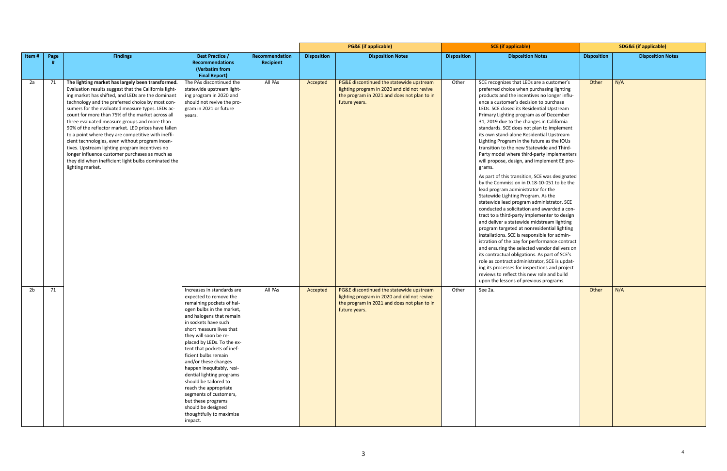|       |      |                                                                                                                                                                                                                                                                                                                                                                                                                                                                                                                                                                                                                                                                                                                            |                                                                                                                                                                                                                                                                                                                                                                                                                                                                                                                                                              |                                    |                    | <b>PG&amp;E</b> (if applicable)                                                                                                                         |                    | <b>SCE</b> (if applicable)                                                                                                                                                                                                                                                                                                                                                                                                                                                                                                                                                                                                                                                                                                                                                                                                                                                                                                                                                                                                                                                                                                                                                                                                                                                                                                                                                                                                         |                    | <b>SDG&amp;E</b> (if applicable) |  |
|-------|------|----------------------------------------------------------------------------------------------------------------------------------------------------------------------------------------------------------------------------------------------------------------------------------------------------------------------------------------------------------------------------------------------------------------------------------------------------------------------------------------------------------------------------------------------------------------------------------------------------------------------------------------------------------------------------------------------------------------------------|--------------------------------------------------------------------------------------------------------------------------------------------------------------------------------------------------------------------------------------------------------------------------------------------------------------------------------------------------------------------------------------------------------------------------------------------------------------------------------------------------------------------------------------------------------------|------------------------------------|--------------------|---------------------------------------------------------------------------------------------------------------------------------------------------------|--------------------|------------------------------------------------------------------------------------------------------------------------------------------------------------------------------------------------------------------------------------------------------------------------------------------------------------------------------------------------------------------------------------------------------------------------------------------------------------------------------------------------------------------------------------------------------------------------------------------------------------------------------------------------------------------------------------------------------------------------------------------------------------------------------------------------------------------------------------------------------------------------------------------------------------------------------------------------------------------------------------------------------------------------------------------------------------------------------------------------------------------------------------------------------------------------------------------------------------------------------------------------------------------------------------------------------------------------------------------------------------------------------------------------------------------------------------|--------------------|----------------------------------|--|
| Item# | Page | <b>Findings</b>                                                                                                                                                                                                                                                                                                                                                                                                                                                                                                                                                                                                                                                                                                            | <b>Best Practice /</b><br><b>Recommendations</b><br>(Verbatim from<br><b>Final Report)</b>                                                                                                                                                                                                                                                                                                                                                                                                                                                                   | Recommendation<br><b>Recipient</b> | <b>Disposition</b> | <b>Disposition Notes</b>                                                                                                                                | <b>Disposition</b> | <b>Disposition Notes</b>                                                                                                                                                                                                                                                                                                                                                                                                                                                                                                                                                                                                                                                                                                                                                                                                                                                                                                                                                                                                                                                                                                                                                                                                                                                                                                                                                                                                           | <b>Disposition</b> | <b>Disposition Notes</b>         |  |
| 2a    | 71   | The lighting market has largely been transformed.<br>Evaluation results suggest that the California light-<br>ing market has shifted, and LEDs are the dominant<br>technology and the preferred choice by most con-<br>sumers for the evaluated measure types. LEDs ac-<br>count for more than 75% of the market across all<br>three evaluated measure groups and more than<br>90% of the reflector market. LED prices have fallen<br>to a point where they are competitive with ineffi-<br>cient technologies, even without program incen-<br>tives. Upstream lighting program incentives no<br>longer influence customer purchases as much as<br>they did when inefficient light bulbs dominated the<br>lighting market. | The PAs discontinued the<br>statewide upstream light-<br>ing program in 2020 and<br>should not revive the pro-<br>gram in 2021 or future<br>years.                                                                                                                                                                                                                                                                                                                                                                                                           | All PAs                            | Accepted           | PG&E discontinued the statewide upstream<br>lighting program in 2020 and did not revive<br>the program in 2021 and does not plan to in<br>future years. | Other              | SCE recognizes that LEDs are a customer's<br>preferred choice when purchasing lighting<br>products and the incentives no longer influ-<br>ence a customer's decision to purchase<br>LEDs. SCE closed its Residential Upstream<br>Primary Lighting program as of December<br>31, 2019 due to the changes in California<br>standards. SCE does not plan to implement<br>its own stand-alone Residential Upstream<br>Lighting Program in the future as the IOUs<br>transition to the new Statewide and Third-<br>Party model where third-party implementers<br>will propose, design, and implement EE pro-<br>grams.<br>As part of this transition, SCE was designated<br>by the Commission in D.18-10-051 to be the<br>lead program administrator for the<br>Statewide Lighting Program. As the<br>statewide lead program administrator, SCE<br>conducted a solicitation and awarded a con-<br>tract to a third-party implementer to design<br>and deliver a statewide midstream lighting<br>program targeted at nonresidential lighting<br>installations. SCE is responsible for admin-<br>istration of the pay for performance contract<br>and ensuring the selected vendor delivers on<br>its contractual obligations. As part of SCE's<br>role as contract administrator, SCE is updat-<br>ing its processes for inspections and project<br>reviews to reflect this new role and build<br>upon the lessons of previous programs. | Other              | N/A                              |  |
| 2b    | 71   |                                                                                                                                                                                                                                                                                                                                                                                                                                                                                                                                                                                                                                                                                                                            | Increases in standards are<br>expected to remove the<br>remaining pockets of hal-<br>ogen bulbs in the market,<br>and halogens that remain<br>in sockets have such<br>short measure lives that<br>they will soon be re-<br>placed by LEDs. To the ex-<br>tent that pockets of inef-<br>ficient bulbs remain<br>and/or these changes<br>happen inequitably, resi-<br>dential lighting programs<br>should be tailored to<br>reach the appropriate<br>segments of customers,<br>but these programs<br>should be designed<br>thoughtfully to maximize<br>impact. | All PAs                            | Accepted           | PG&E discontinued the statewide upstream<br>lighting program in 2020 and did not revive<br>the program in 2021 and does not plan to in<br>future years. | Other              | See 2a.                                                                                                                                                                                                                                                                                                                                                                                                                                                                                                                                                                                                                                                                                                                                                                                                                                                                                                                                                                                                                                                                                                                                                                                                                                                                                                                                                                                                                            | Other              | N/A                              |  |

4